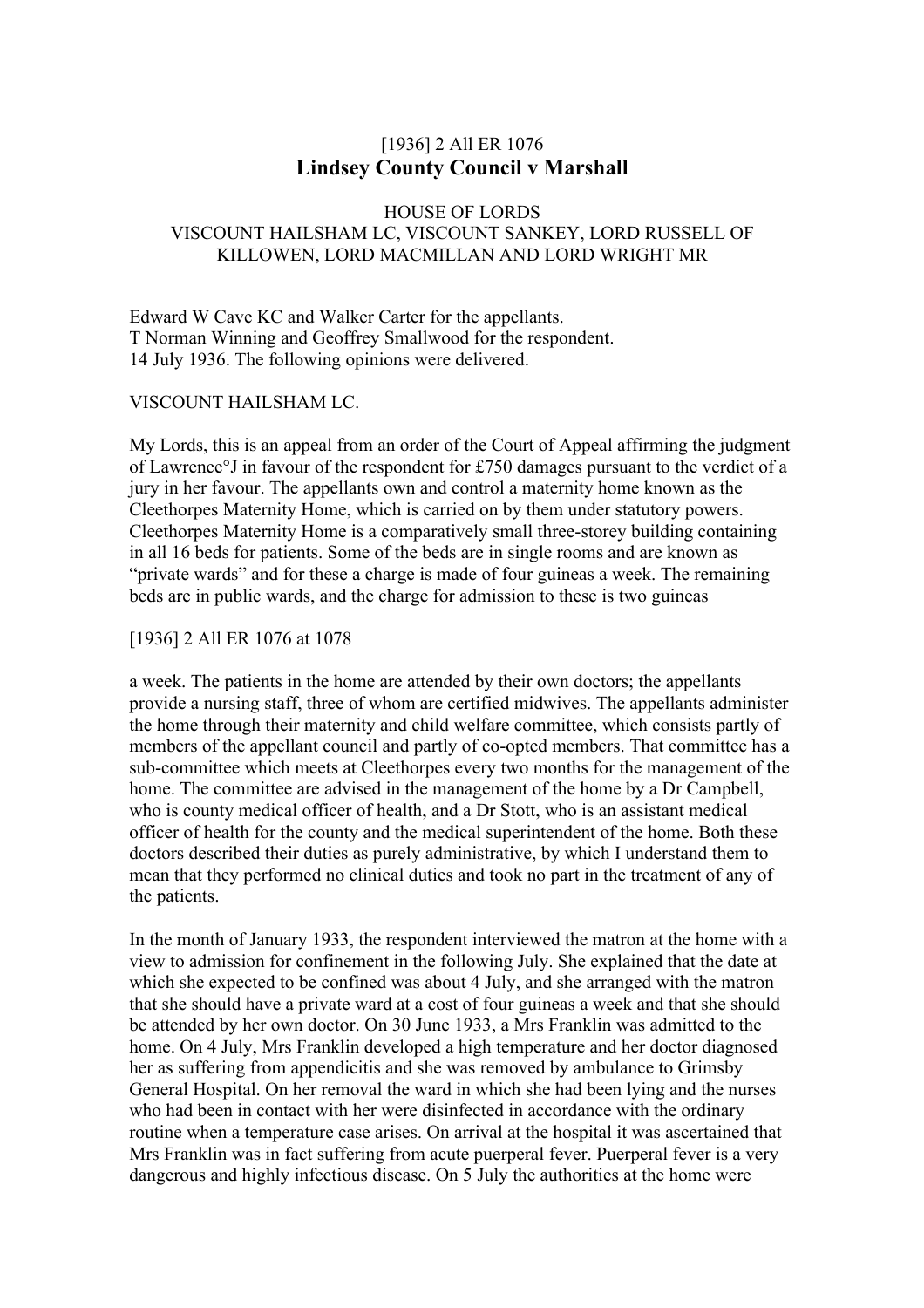# [1936] 2 All ER 1076 **Lindsey County Council v Marshall**

# HOUSE OF LORDS VISCOUNT HAILSHAM LC, VISCOUNT SANKEY, LORD RUSSELL OF KILLOWEN, LORD MACMILLAN AND LORD WRIGHT MR

Edward W Cave KC and Walker Carter for the appellants. T Norman Winning and Geoffrey Smallwood for the respondent. 14 July 1936. The following opinions were delivered.

# VISCOUNT HAILSHAM LC.

My Lords, this is an appeal from an order of the Court of Appeal affirming the judgment of Lawrence°J in favour of the respondent for £750 damages pursuant to the verdict of a jury in her favour. The appellants own and control a maternity home known as the Cleethorpes Maternity Home, which is carried on by them under statutory powers. Cleethorpes Maternity Home is a comparatively small three-storey building containing in all 16 beds for patients. Some of the beds are in single rooms and are known as "private wards" and for these a charge is made of four guineas a week. The remaining beds are in public wards, and the charge for admission to these is two guineas

### [1936] 2 All ER 1076 at 1078

a week. The patients in the home are attended by their own doctors; the appellants provide a nursing staff, three of whom are certified midwives. The appellants administer the home through their maternity and child welfare committee, which consists partly of members of the appellant council and partly of co-opted members. That committee has a sub-committee which meets at Cleethorpes every two months for the management of the home. The committee are advised in the management of the home by a Dr Campbell, who is county medical officer of health, and a Dr Stott, who is an assistant medical officer of health for the county and the medical superintendent of the home. Both these doctors described their duties as purely administrative, by which I understand them to mean that they performed no clinical duties and took no part in the treatment of any of the patients.

In the month of January 1933, the respondent interviewed the matron at the home with a view to admission for confinement in the following July. She explained that the date at which she expected to be confined was about 4 July, and she arranged with the matron that she should have a private ward at a cost of four guineas a week and that she should be attended by her own doctor. On 30 June 1933, a Mrs Franklin was admitted to the home. On 4 July, Mrs Franklin developed a high temperature and her doctor diagnosed her as suffering from appendicitis and she was removed by ambulance to Grimsby General Hospital. On her removal the ward in which she had been lying and the nurses who had been in contact with her were disinfected in accordance with the ordinary routine when a temperature case arises. On arrival at the hospital it was ascertained that Mrs Franklin was in fact suffering from acute puerperal fever. Puerperal fever is a very dangerous and highly infectious disease. On 5 July the authorities at the home were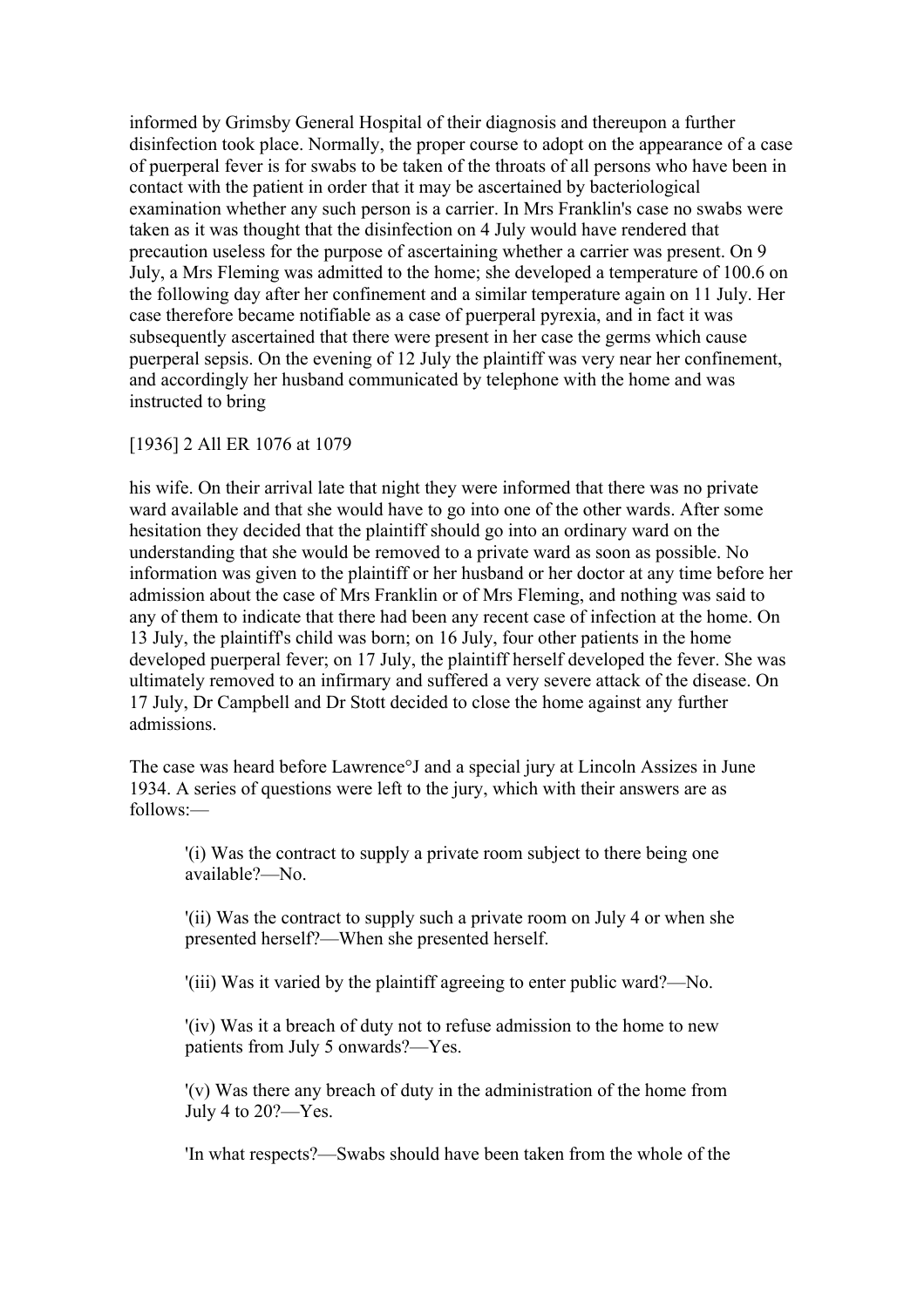informed by Grimsby General Hospital of their diagnosis and thereupon a further disinfection took place. Normally, the proper course to adopt on the appearance of a case of puerperal fever is for swabs to be taken of the throats of all persons who have been in contact with the patient in order that it may be ascertained by bacteriological examination whether any such person is a carrier. In Mrs Franklin's case no swabs were taken as it was thought that the disinfection on 4 July would have rendered that precaution useless for the purpose of ascertaining whether a carrier was present. On 9 July, a Mrs Fleming was admitted to the home; she developed a temperature of 100.6 on the following day after her confinement and a similar temperature again on 11 July. Her case therefore became notifiable as a case of puerperal pyrexia, and in fact it was subsequently ascertained that there were present in her case the germs which cause puerperal sepsis. On the evening of 12 July the plaintiff was very near her confinement, and accordingly her husband communicated by telephone with the home and was instructed to bring

#### [1936] 2 All ER 1076 at 1079

his wife. On their arrival late that night they were informed that there was no private ward available and that she would have to go into one of the other wards. After some hesitation they decided that the plaintiff should go into an ordinary ward on the understanding that she would be removed to a private ward as soon as possible. No information was given to the plaintiff or her husband or her doctor at any time before her admission about the case of Mrs Franklin or of Mrs Fleming, and nothing was said to any of them to indicate that there had been any recent case of infection at the home. On 13 July, the plaintiff's child was born; on 16 July, four other patients in the home developed puerperal fever; on 17 July, the plaintiff herself developed the fever. She was ultimately removed to an infirmary and suffered a very severe attack of the disease. On 17 July, Dr Campbell and Dr Stott decided to close the home against any further admissions.

The case was heard before Lawrence°J and a special jury at Lincoln Assizes in June 1934. A series of questions were left to the jury, which with their answers are as follows:—

'(i) Was the contract to supply a private room subject to there being one available?—No.

'(ii) Was the contract to supply such a private room on July 4 or when she presented herself?—When she presented herself.

'(iii) Was it varied by the plaintiff agreeing to enter public ward?—No.

'(iv) Was it a breach of duty not to refuse admission to the home to new patients from July 5 onwards?—Yes.

'(v) Was there any breach of duty in the administration of the home from July 4 to 20?—Yes.

'In what respects?—Swabs should have been taken from the whole of the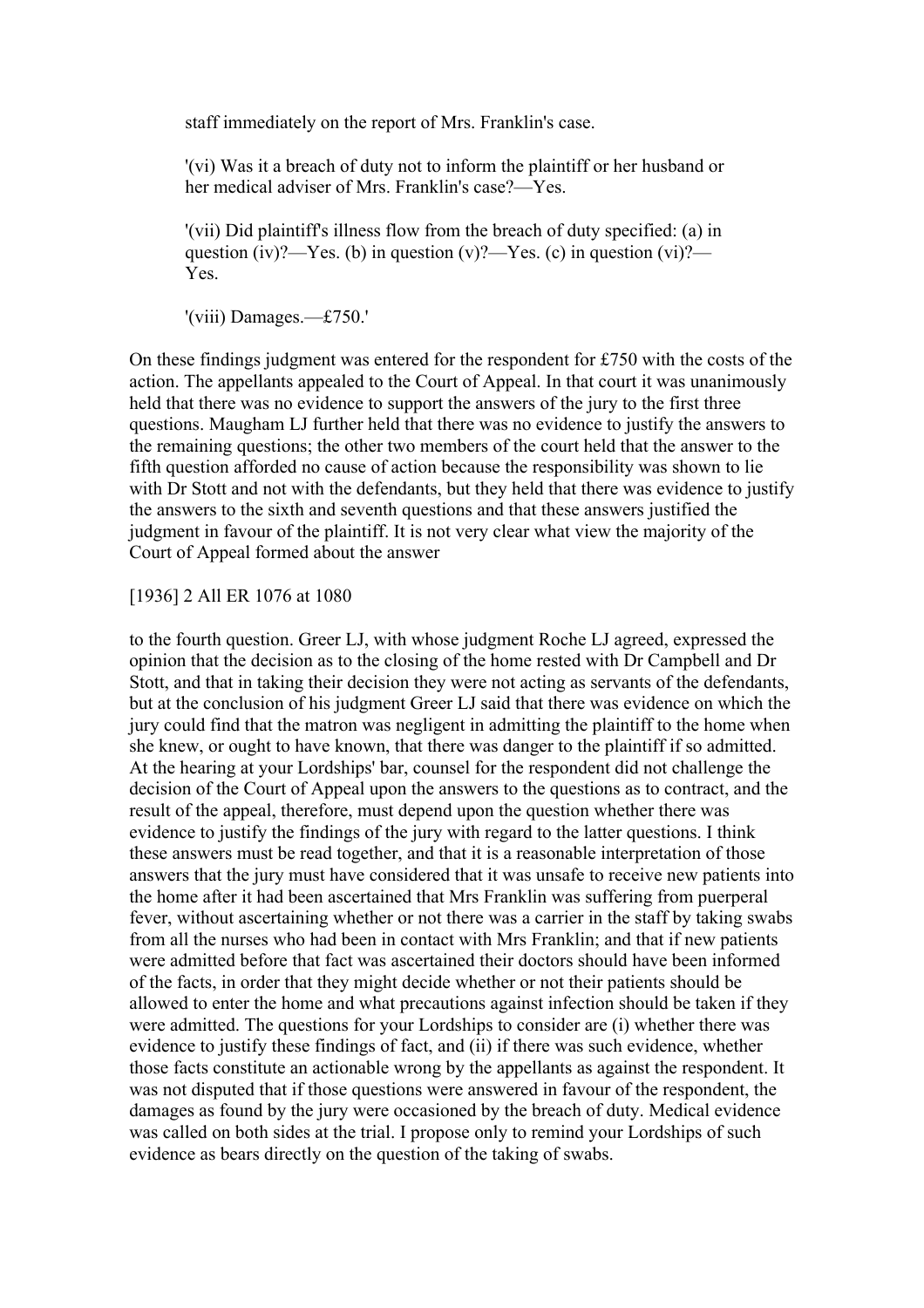staff immediately on the report of Mrs. Franklin's case.

'(vi) Was it a breach of duty not to inform the plaintiff or her husband or her medical adviser of Mrs. Franklin's case?—Yes.

'(vii) Did plaintiff's illness flow from the breach of duty specified: (a) in question (iv)?—Yes. (b) in question (v)?—Yes. (c) in question (vi)?— Yes.

'(viii) Damages.—£750.'

On these findings judgment was entered for the respondent for £750 with the costs of the action. The appellants appealed to the Court of Appeal. In that court it was unanimously held that there was no evidence to support the answers of the jury to the first three questions. Maugham LJ further held that there was no evidence to justify the answers to the remaining questions; the other two members of the court held that the answer to the fifth question afforded no cause of action because the responsibility was shown to lie with Dr Stott and not with the defendants, but they held that there was evidence to justify the answers to the sixth and seventh questions and that these answers justified the judgment in favour of the plaintiff. It is not very clear what view the majority of the Court of Appeal formed about the answer

[1936] 2 All ER 1076 at 1080

to the fourth question. Greer LJ, with whose judgment Roche LJ agreed, expressed the opinion that the decision as to the closing of the home rested with Dr Campbell and Dr Stott, and that in taking their decision they were not acting as servants of the defendants, but at the conclusion of his judgment Greer LJ said that there was evidence on which the jury could find that the matron was negligent in admitting the plaintiff to the home when she knew, or ought to have known, that there was danger to the plaintiff if so admitted. At the hearing at your Lordships' bar, counsel for the respondent did not challenge the decision of the Court of Appeal upon the answers to the questions as to contract, and the result of the appeal, therefore, must depend upon the question whether there was evidence to justify the findings of the jury with regard to the latter questions. I think these answers must be read together, and that it is a reasonable interpretation of those answers that the jury must have considered that it was unsafe to receive new patients into the home after it had been ascertained that Mrs Franklin was suffering from puerperal fever, without ascertaining whether or not there was a carrier in the staff by taking swabs from all the nurses who had been in contact with Mrs Franklin; and that if new patients were admitted before that fact was ascertained their doctors should have been informed of the facts, in order that they might decide whether or not their patients should be allowed to enter the home and what precautions against infection should be taken if they were admitted. The questions for your Lordships to consider are (i) whether there was evidence to justify these findings of fact, and (ii) if there was such evidence, whether those facts constitute an actionable wrong by the appellants as against the respondent. It was not disputed that if those questions were answered in favour of the respondent, the damages as found by the jury were occasioned by the breach of duty. Medical evidence was called on both sides at the trial. I propose only to remind your Lordships of such evidence as bears directly on the question of the taking of swabs.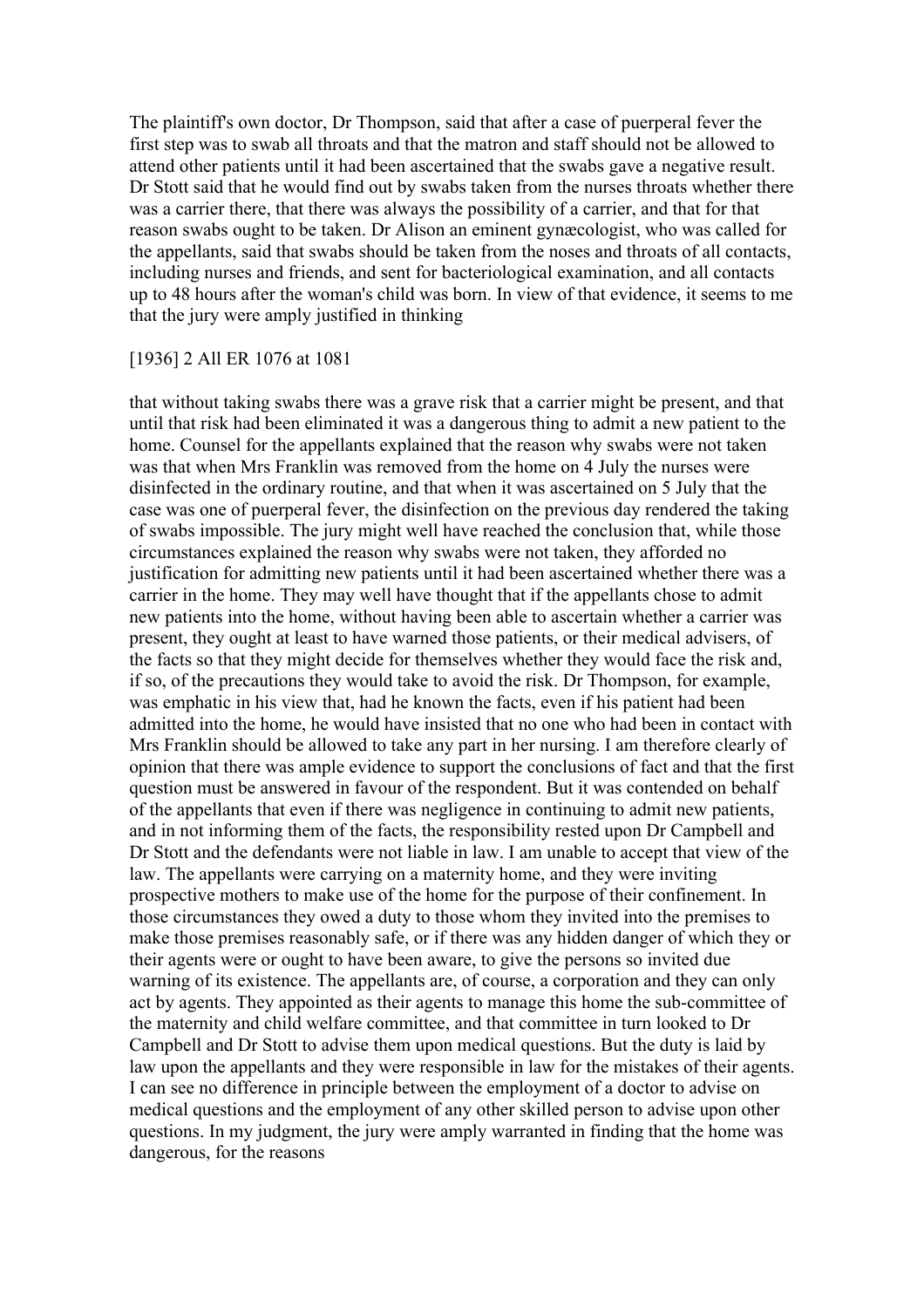The plaintiff's own doctor, Dr Thompson, said that after a case of puerperal fever the first step was to swab all throats and that the matron and staff should not be allowed to attend other patients until it had been ascertained that the swabs gave a negative result. Dr Stott said that he would find out by swabs taken from the nurses throats whether there was a carrier there, that there was always the possibility of a carrier, and that for that reason swabs ought to be taken. Dr Alison an eminent gynæcologist, who was called for the appellants, said that swabs should be taken from the noses and throats of all contacts, including nurses and friends, and sent for bacteriological examination, and all contacts up to 48 hours after the woman's child was born. In view of that evidence, it seems to me that the jury were amply justified in thinking

#### [1936] 2 All ER 1076 at 1081

that without taking swabs there was a grave risk that a carrier might be present, and that until that risk had been eliminated it was a dangerous thing to admit a new patient to the home. Counsel for the appellants explained that the reason why swabs were not taken was that when Mrs Franklin was removed from the home on 4 July the nurses were disinfected in the ordinary routine, and that when it was ascertained on 5 July that the case was one of puerperal fever, the disinfection on the previous day rendered the taking of swabs impossible. The jury might well have reached the conclusion that, while those circumstances explained the reason why swabs were not taken, they afforded no justification for admitting new patients until it had been ascertained whether there was a carrier in the home. They may well have thought that if the appellants chose to admit new patients into the home, without having been able to ascertain whether a carrier was present, they ought at least to have warned those patients, or their medical advisers, of the facts so that they might decide for themselves whether they would face the risk and, if so, of the precautions they would take to avoid the risk. Dr Thompson, for example, was emphatic in his view that, had he known the facts, even if his patient had been admitted into the home, he would have insisted that no one who had been in contact with Mrs Franklin should be allowed to take any part in her nursing. I am therefore clearly of opinion that there was ample evidence to support the conclusions of fact and that the first question must be answered in favour of the respondent. But it was contended on behalf of the appellants that even if there was negligence in continuing to admit new patients, and in not informing them of the facts, the responsibility rested upon Dr Campbell and Dr Stott and the defendants were not liable in law. I am unable to accept that view of the law. The appellants were carrying on a maternity home, and they were inviting prospective mothers to make use of the home for the purpose of their confinement. In those circumstances they owed a duty to those whom they invited into the premises to make those premises reasonably safe, or if there was any hidden danger of which they or their agents were or ought to have been aware, to give the persons so invited due warning of its existence. The appellants are, of course, a corporation and they can only act by agents. They appointed as their agents to manage this home the sub-committee of the maternity and child welfare committee, and that committee in turn looked to Dr Campbell and Dr Stott to advise them upon medical questions. But the duty is laid by law upon the appellants and they were responsible in law for the mistakes of their agents. I can see no difference in principle between the employment of a doctor to advise on medical questions and the employment of any other skilled person to advise upon other questions. In my judgment, the jury were amply warranted in finding that the home was dangerous, for the reasons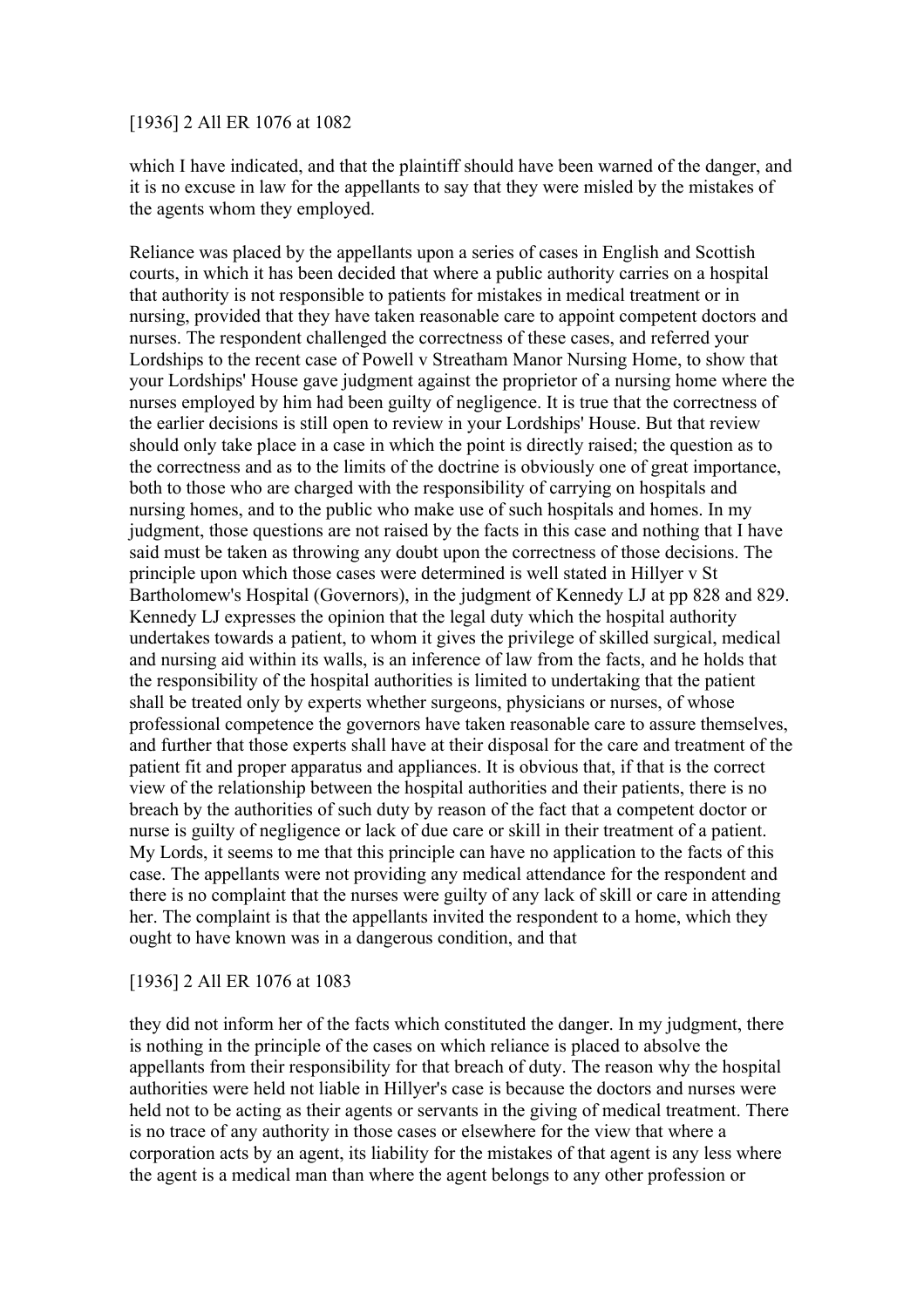### [1936] 2 All ER 1076 at 1082

which I have indicated, and that the plaintiff should have been warned of the danger, and it is no excuse in law for the appellants to say that they were misled by the mistakes of the agents whom they employed.

Reliance was placed by the appellants upon a series of cases in English and Scottish courts, in which it has been decided that where a public authority carries on a hospital that authority is not responsible to patients for mistakes in medical treatment or in nursing, provided that they have taken reasonable care to appoint competent doctors and nurses. The respondent challenged the correctness of these cases, and referred your Lordships to the recent case of Powell v Streatham Manor Nursing Home, to show that your Lordships' House gave judgment against the proprietor of a nursing home where the nurses employed by him had been guilty of negligence. It is true that the correctness of the earlier decisions is still open to review in your Lordships' House. But that review should only take place in a case in which the point is directly raised; the question as to the correctness and as to the limits of the doctrine is obviously one of great importance, both to those who are charged with the responsibility of carrying on hospitals and nursing homes, and to the public who make use of such hospitals and homes. In my judgment, those questions are not raised by the facts in this case and nothing that I have said must be taken as throwing any doubt upon the correctness of those decisions. The principle upon which those cases were determined is well stated in Hillyer v St Bartholomew's Hospital (Governors), in the judgment of Kennedy LJ at pp 828 and 829. Kennedy LJ expresses the opinion that the legal duty which the hospital authority undertakes towards a patient, to whom it gives the privilege of skilled surgical, medical and nursing aid within its walls, is an inference of law from the facts, and he holds that the responsibility of the hospital authorities is limited to undertaking that the patient shall be treated only by experts whether surgeons, physicians or nurses, of whose professional competence the governors have taken reasonable care to assure themselves, and further that those experts shall have at their disposal for the care and treatment of the patient fit and proper apparatus and appliances. It is obvious that, if that is the correct view of the relationship between the hospital authorities and their patients, there is no breach by the authorities of such duty by reason of the fact that a competent doctor or nurse is guilty of negligence or lack of due care or skill in their treatment of a patient. My Lords, it seems to me that this principle can have no application to the facts of this case. The appellants were not providing any medical attendance for the respondent and there is no complaint that the nurses were guilty of any lack of skill or care in attending her. The complaint is that the appellants invited the respondent to a home, which they ought to have known was in a dangerous condition, and that

# [1936] 2 All ER 1076 at 1083

they did not inform her of the facts which constituted the danger. In my judgment, there is nothing in the principle of the cases on which reliance is placed to absolve the appellants from their responsibility for that breach of duty. The reason why the hospital authorities were held not liable in Hillyer's case is because the doctors and nurses were held not to be acting as their agents or servants in the giving of medical treatment. There is no trace of any authority in those cases or elsewhere for the view that where a corporation acts by an agent, its liability for the mistakes of that agent is any less where the agent is a medical man than where the agent belongs to any other profession or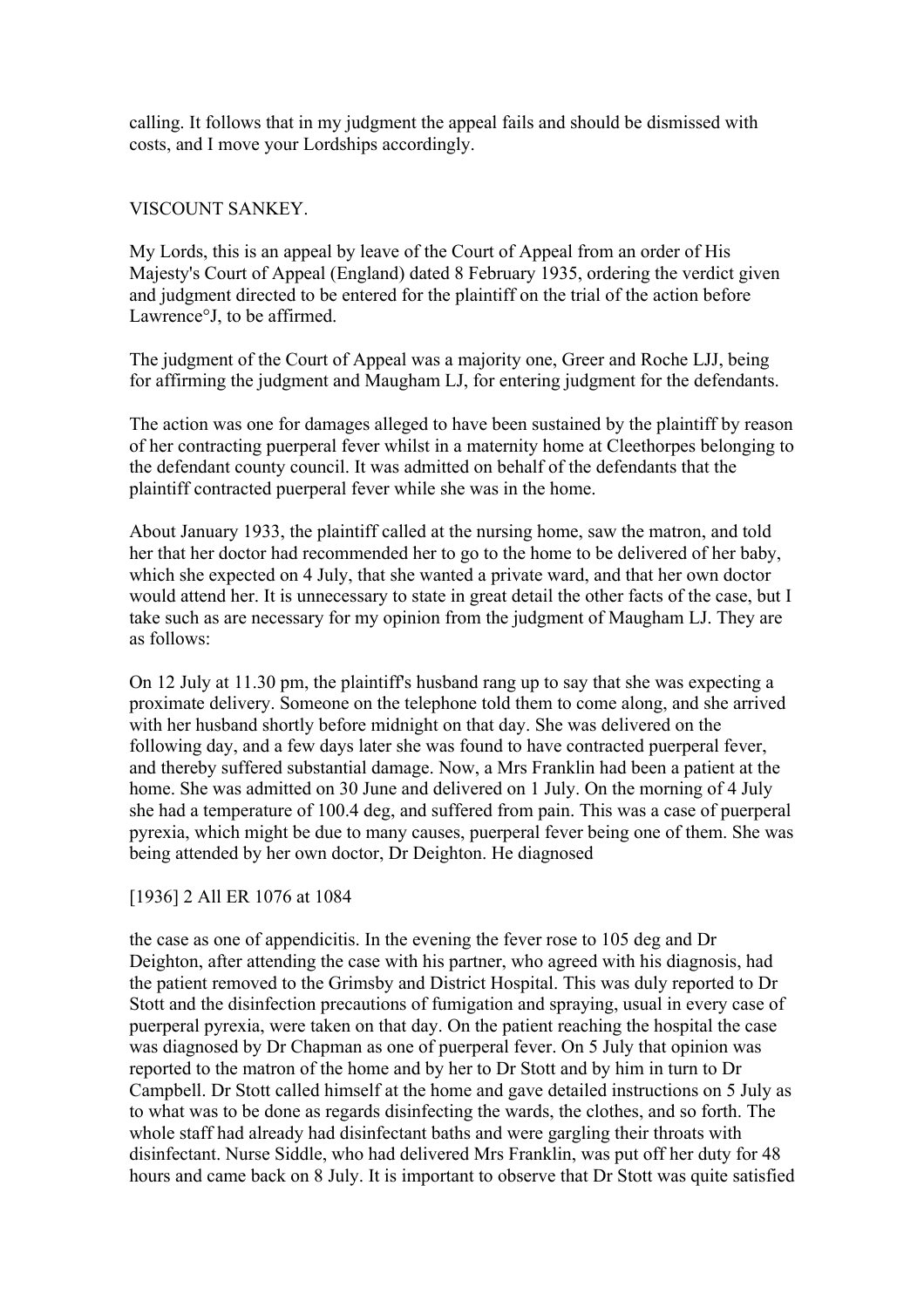calling. It follows that in my judgment the appeal fails and should be dismissed with costs, and I move your Lordships accordingly.

# VISCOUNT SANKEY.

My Lords, this is an appeal by leave of the Court of Appeal from an order of His Majesty's Court of Appeal (England) dated 8 February 1935, ordering the verdict given and judgment directed to be entered for the plaintiff on the trial of the action before Lawrence°J, to be affirmed.

The judgment of the Court of Appeal was a majority one, Greer and Roche LJJ, being for affirming the judgment and Maugham LJ, for entering judgment for the defendants.

The action was one for damages alleged to have been sustained by the plaintiff by reason of her contracting puerperal fever whilst in a maternity home at Cleethorpes belonging to the defendant county council. It was admitted on behalf of the defendants that the plaintiff contracted puerperal fever while she was in the home.

About January 1933, the plaintiff called at the nursing home, saw the matron, and told her that her doctor had recommended her to go to the home to be delivered of her baby, which she expected on 4 July, that she wanted a private ward, and that her own doctor would attend her. It is unnecessary to state in great detail the other facts of the case, but I take such as are necessary for my opinion from the judgment of Maugham LJ. They are as follows:

On 12 July at 11.30 pm, the plaintiff's husband rang up to say that she was expecting a proximate delivery. Someone on the telephone told them to come along, and she arrived with her husband shortly before midnight on that day. She was delivered on the following day, and a few days later she was found to have contracted puerperal fever, and thereby suffered substantial damage. Now, a Mrs Franklin had been a patient at the home. She was admitted on 30 June and delivered on 1 July. On the morning of 4 July she had a temperature of 100.4 deg, and suffered from pain. This was a case of puerperal pyrexia, which might be due to many causes, puerperal fever being one of them. She was being attended by her own doctor, Dr Deighton. He diagnosed

# [1936] 2 All ER 1076 at 1084

the case as one of appendicitis. In the evening the fever rose to 105 deg and Dr Deighton, after attending the case with his partner, who agreed with his diagnosis, had the patient removed to the Grimsby and District Hospital. This was duly reported to Dr Stott and the disinfection precautions of fumigation and spraying, usual in every case of puerperal pyrexia, were taken on that day. On the patient reaching the hospital the case was diagnosed by Dr Chapman as one of puerperal fever. On 5 July that opinion was reported to the matron of the home and by her to Dr Stott and by him in turn to Dr Campbell. Dr Stott called himself at the home and gave detailed instructions on 5 July as to what was to be done as regards disinfecting the wards, the clothes, and so forth. The whole staff had already had disinfectant baths and were gargling their throats with disinfectant. Nurse Siddle, who had delivered Mrs Franklin, was put off her duty for 48 hours and came back on 8 July. It is important to observe that Dr Stott was quite satisfied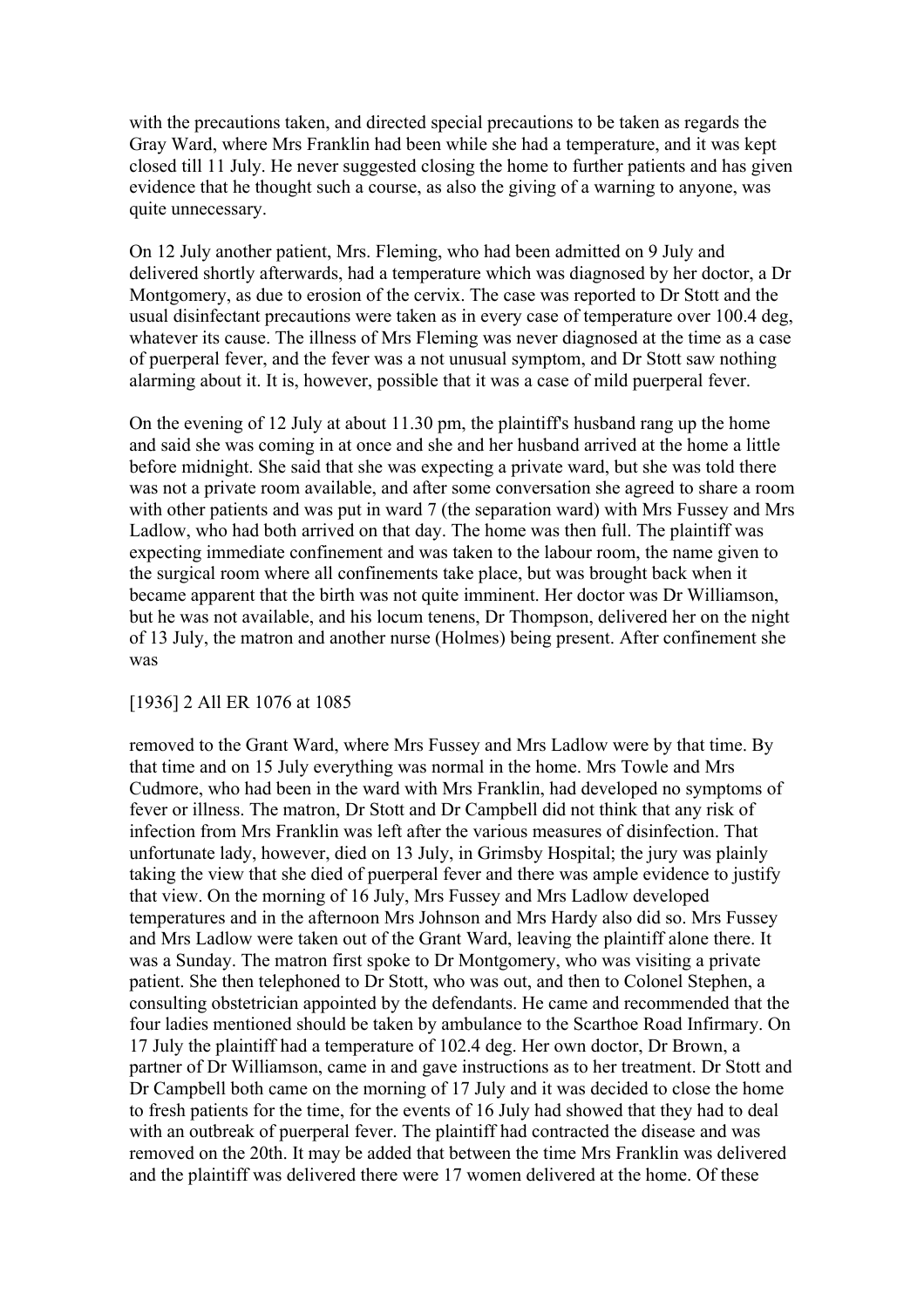with the precautions taken, and directed special precautions to be taken as regards the Gray Ward, where Mrs Franklin had been while she had a temperature, and it was kept closed till 11 July. He never suggested closing the home to further patients and has given evidence that he thought such a course, as also the giving of a warning to anyone, was quite unnecessary.

On 12 July another patient, Mrs. Fleming, who had been admitted on 9 July and delivered shortly afterwards, had a temperature which was diagnosed by her doctor, a Dr Montgomery, as due to erosion of the cervix. The case was reported to Dr Stott and the usual disinfectant precautions were taken as in every case of temperature over 100.4 deg, whatever its cause. The illness of Mrs Fleming was never diagnosed at the time as a case of puerperal fever, and the fever was a not unusual symptom, and Dr Stott saw nothing alarming about it. It is, however, possible that it was a case of mild puerperal fever.

On the evening of 12 July at about 11.30 pm, the plaintiff's husband rang up the home and said she was coming in at once and she and her husband arrived at the home a little before midnight. She said that she was expecting a private ward, but she was told there was not a private room available, and after some conversation she agreed to share a room with other patients and was put in ward 7 (the separation ward) with Mrs Fussey and Mrs Ladlow, who had both arrived on that day. The home was then full. The plaintiff was expecting immediate confinement and was taken to the labour room, the name given to the surgical room where all confinements take place, but was brought back when it became apparent that the birth was not quite imminent. Her doctor was Dr Williamson, but he was not available, and his locum tenens, Dr Thompson, delivered her on the night of 13 July, the matron and another nurse (Holmes) being present. After confinement she was

#### [1936] 2 All ER 1076 at 1085

removed to the Grant Ward, where Mrs Fussey and Mrs Ladlow were by that time. By that time and on 15 July everything was normal in the home. Mrs Towle and Mrs Cudmore, who had been in the ward with Mrs Franklin, had developed no symptoms of fever or illness. The matron, Dr Stott and Dr Campbell did not think that any risk of infection from Mrs Franklin was left after the various measures of disinfection. That unfortunate lady, however, died on 13 July, in Grimsby Hospital; the jury was plainly taking the view that she died of puerperal fever and there was ample evidence to justify that view. On the morning of 16 July, Mrs Fussey and Mrs Ladlow developed temperatures and in the afternoon Mrs Johnson and Mrs Hardy also did so. Mrs Fussey and Mrs Ladlow were taken out of the Grant Ward, leaving the plaintiff alone there. It was a Sunday. The matron first spoke to Dr Montgomery, who was visiting a private patient. She then telephoned to Dr Stott, who was out, and then to Colonel Stephen, a consulting obstetrician appointed by the defendants. He came and recommended that the four ladies mentioned should be taken by ambulance to the Scarthoe Road Infirmary. On 17 July the plaintiff had a temperature of 102.4 deg. Her own doctor, Dr Brown, a partner of Dr Williamson, came in and gave instructions as to her treatment. Dr Stott and Dr Campbell both came on the morning of 17 July and it was decided to close the home to fresh patients for the time, for the events of 16 July had showed that they had to deal with an outbreak of puerperal fever. The plaintiff had contracted the disease and was removed on the 20th. It may be added that between the time Mrs Franklin was delivered and the plaintiff was delivered there were 17 women delivered at the home. Of these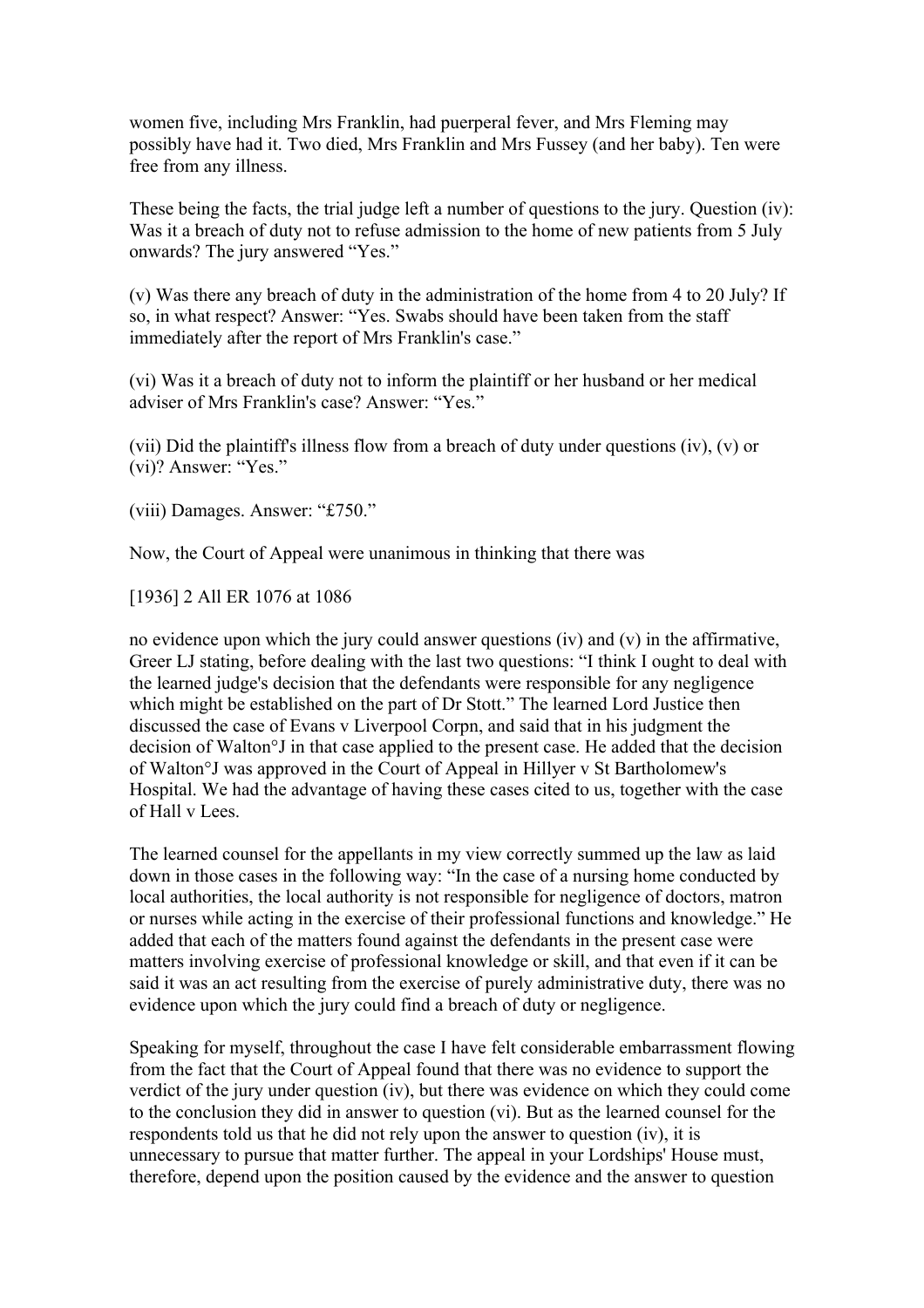women five, including Mrs Franklin, had puerperal fever, and Mrs Fleming may possibly have had it. Two died, Mrs Franklin and Mrs Fussey (and her baby). Ten were free from any illness.

These being the facts, the trial judge left a number of questions to the jury. Question (iv): Was it a breach of duty not to refuse admission to the home of new patients from 5 July onwards? The jury answered "Yes."

(v) Was there any breach of duty in the administration of the home from 4 to 20 July? If so, in what respect? Answer: "Yes. Swabs should have been taken from the staff immediately after the report of Mrs Franklin's case."

(vi) Was it a breach of duty not to inform the plaintiff or her husband or her medical adviser of Mrs Franklin's case? Answer: "Yes."

(vii) Did the plaintiff's illness flow from a breach of duty under questions (iv), (v) or (vi)? Answer: "Yes."

(viii) Damages. Answer: "£750."

Now, the Court of Appeal were unanimous in thinking that there was

[1936] 2 All ER 1076 at 1086

no evidence upon which the jury could answer questions (iv) and (v) in the affirmative, Greer LJ stating, before dealing with the last two questions: "I think I ought to deal with the learned judge's decision that the defendants were responsible for any negligence which might be established on the part of Dr Stott." The learned Lord Justice then discussed the case of Evans v Liverpool Corpn, and said that in his judgment the decision of Walton°J in that case applied to the present case. He added that the decision of Walton°J was approved in the Court of Appeal in Hillyer v St Bartholomew's Hospital. We had the advantage of having these cases cited to us, together with the case of Hall v Lees.

The learned counsel for the appellants in my view correctly summed up the law as laid down in those cases in the following way: "In the case of a nursing home conducted by local authorities, the local authority is not responsible for negligence of doctors, matron or nurses while acting in the exercise of their professional functions and knowledge." He added that each of the matters found against the defendants in the present case were matters involving exercise of professional knowledge or skill, and that even if it can be said it was an act resulting from the exercise of purely administrative duty, there was no evidence upon which the jury could find a breach of duty or negligence.

Speaking for myself, throughout the case I have felt considerable embarrassment flowing from the fact that the Court of Appeal found that there was no evidence to support the verdict of the jury under question (iv), but there was evidence on which they could come to the conclusion they did in answer to question (vi). But as the learned counsel for the respondents told us that he did not rely upon the answer to question (iv), it is unnecessary to pursue that matter further. The appeal in your Lordships' House must, therefore, depend upon the position caused by the evidence and the answer to question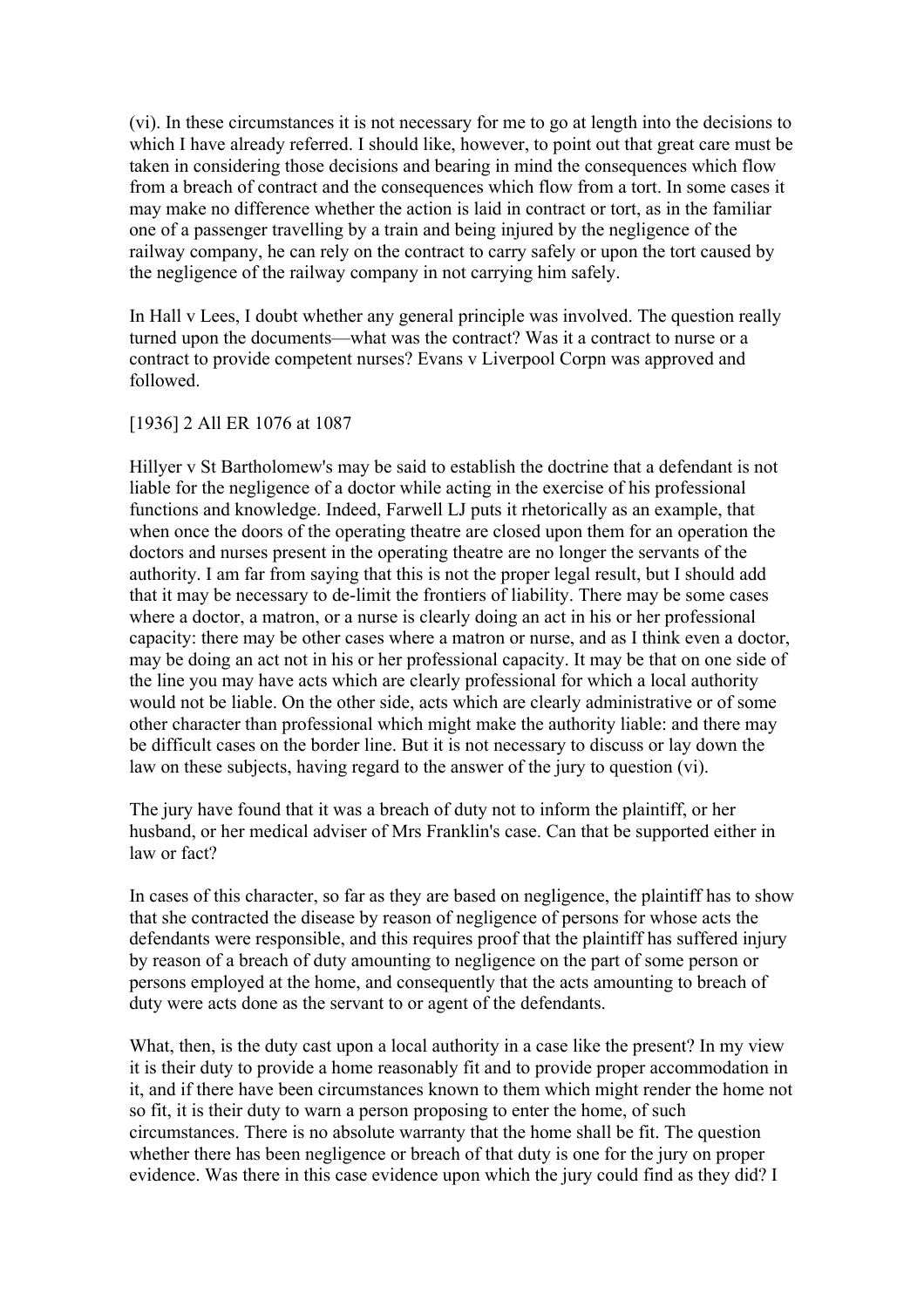(vi). In these circumstances it is not necessary for me to go at length into the decisions to which I have already referred. I should like, however, to point out that great care must be taken in considering those decisions and bearing in mind the consequences which flow from a breach of contract and the consequences which flow from a tort. In some cases it may make no difference whether the action is laid in contract or tort, as in the familiar one of a passenger travelling by a train and being injured by the negligence of the railway company, he can rely on the contract to carry safely or upon the tort caused by the negligence of the railway company in not carrying him safely.

In Hall v Lees, I doubt whether any general principle was involved. The question really turned upon the documents—what was the contract? Was it a contract to nurse or a contract to provide competent nurses? Evans v Liverpool Corpn was approved and followed.

#### [1936] 2 All ER 1076 at 1087

Hillyer v St Bartholomew's may be said to establish the doctrine that a defendant is not liable for the negligence of a doctor while acting in the exercise of his professional functions and knowledge. Indeed, Farwell LJ puts it rhetorically as an example, that when once the doors of the operating theatre are closed upon them for an operation the doctors and nurses present in the operating theatre are no longer the servants of the authority. I am far from saying that this is not the proper legal result, but I should add that it may be necessary to de-limit the frontiers of liability. There may be some cases where a doctor, a matron, or a nurse is clearly doing an act in his or her professional capacity: there may be other cases where a matron or nurse, and as I think even a doctor, may be doing an act not in his or her professional capacity. It may be that on one side of the line you may have acts which are clearly professional for which a local authority would not be liable. On the other side, acts which are clearly administrative or of some other character than professional which might make the authority liable: and there may be difficult cases on the border line. But it is not necessary to discuss or lay down the law on these subjects, having regard to the answer of the jury to question (vi).

The jury have found that it was a breach of duty not to inform the plaintiff, or her husband, or her medical adviser of Mrs Franklin's case. Can that be supported either in law or fact?

In cases of this character, so far as they are based on negligence, the plaintiff has to show that she contracted the disease by reason of negligence of persons for whose acts the defendants were responsible, and this requires proof that the plaintiff has suffered injury by reason of a breach of duty amounting to negligence on the part of some person or persons employed at the home, and consequently that the acts amounting to breach of duty were acts done as the servant to or agent of the defendants.

What, then, is the duty cast upon a local authority in a case like the present? In my view it is their duty to provide a home reasonably fit and to provide proper accommodation in it, and if there have been circumstances known to them which might render the home not so fit, it is their duty to warn a person proposing to enter the home, of such circumstances. There is no absolute warranty that the home shall be fit. The question whether there has been negligence or breach of that duty is one for the jury on proper evidence. Was there in this case evidence upon which the jury could find as they did? I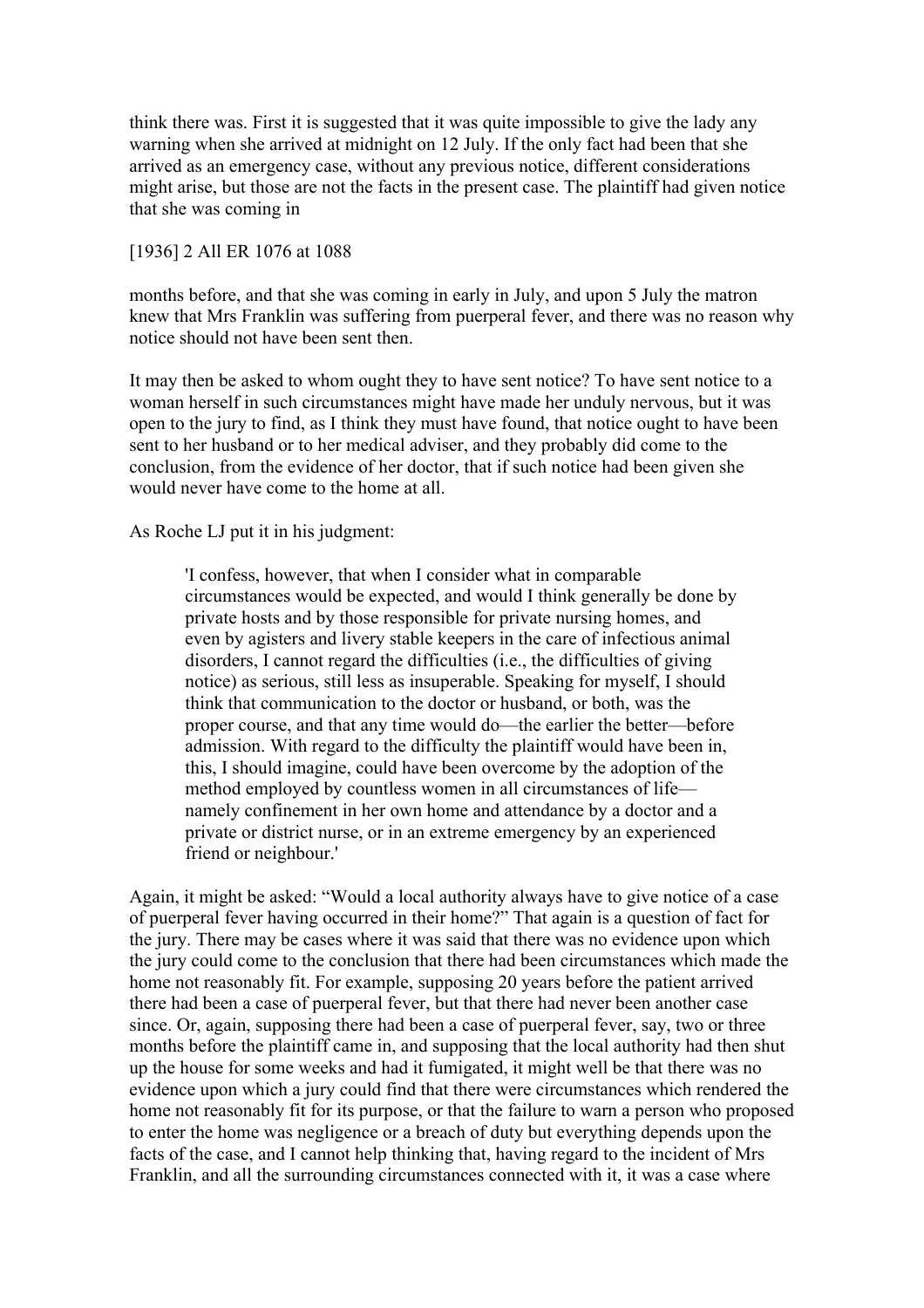think there was. First it is suggested that it was quite impossible to give the lady any warning when she arrived at midnight on 12 July. If the only fact had been that she arrived as an emergency case, without any previous notice, different considerations might arise, but those are not the facts in the present case. The plaintiff had given notice that she was coming in

#### [1936] 2 All ER 1076 at 1088

months before, and that she was coming in early in July, and upon 5 July the matron knew that Mrs Franklin was suffering from puerperal fever, and there was no reason why notice should not have been sent then.

It may then be asked to whom ought they to have sent notice? To have sent notice to a woman herself in such circumstances might have made her unduly nervous, but it was open to the jury to find, as I think they must have found, that notice ought to have been sent to her husband or to her medical adviser, and they probably did come to the conclusion, from the evidence of her doctor, that if such notice had been given she would never have come to the home at all.

As Roche LJ put it in his judgment:

'I confess, however, that when I consider what in comparable circumstances would be expected, and would I think generally be done by private hosts and by those responsible for private nursing homes, and even by agisters and livery stable keepers in the care of infectious animal disorders, I cannot regard the difficulties (i.e., the difficulties of giving notice) as serious, still less as insuperable. Speaking for myself, I should think that communication to the doctor or husband, or both, was the proper course, and that any time would do—the earlier the better—before admission. With regard to the difficulty the plaintiff would have been in, this, I should imagine, could have been overcome by the adoption of the method employed by countless women in all circumstances of life namely confinement in her own home and attendance by a doctor and a private or district nurse, or in an extreme emergency by an experienced friend or neighbour.'

Again, it might be asked: "Would a local authority always have to give notice of a case of puerperal fever having occurred in their home?" That again is a question of fact for the jury. There may be cases where it was said that there was no evidence upon which the jury could come to the conclusion that there had been circumstances which made the home not reasonably fit. For example, supposing 20 years before the patient arrived there had been a case of puerperal fever, but that there had never been another case since. Or, again, supposing there had been a case of puerperal fever, say, two or three months before the plaintiff came in, and supposing that the local authority had then shut up the house for some weeks and had it fumigated, it might well be that there was no evidence upon which a jury could find that there were circumstances which rendered the home not reasonably fit for its purpose, or that the failure to warn a person who proposed to enter the home was negligence or a breach of duty but everything depends upon the facts of the case, and I cannot help thinking that, having regard to the incident of Mrs Franklin, and all the surrounding circumstances connected with it, it was a case where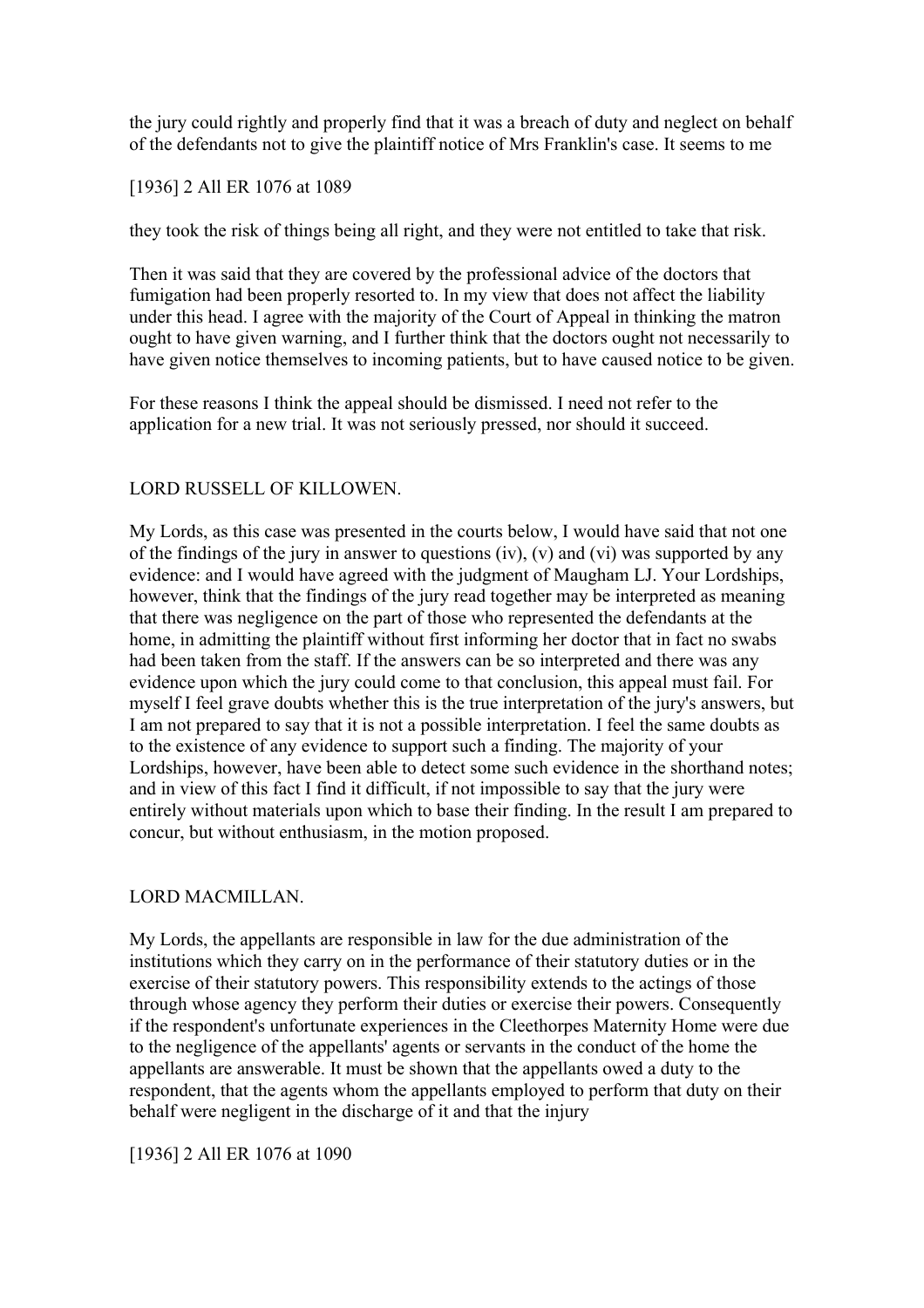the jury could rightly and properly find that it was a breach of duty and neglect on behalf of the defendants not to give the plaintiff notice of Mrs Franklin's case. It seems to me

# [1936] 2 All ER 1076 at 1089

they took the risk of things being all right, and they were not entitled to take that risk.

Then it was said that they are covered by the professional advice of the doctors that fumigation had been properly resorted to. In my view that does not affect the liability under this head. I agree with the majority of the Court of Appeal in thinking the matron ought to have given warning, and I further think that the doctors ought not necessarily to have given notice themselves to incoming patients, but to have caused notice to be given.

For these reasons I think the appeal should be dismissed. I need not refer to the application for a new trial. It was not seriously pressed, nor should it succeed.

# LORD RUSSELL OF KILLOWEN.

My Lords, as this case was presented in the courts below, I would have said that not one of the findings of the jury in answer to questions (iv), (v) and (vi) was supported by any evidence: and I would have agreed with the judgment of Maugham LJ. Your Lordships, however, think that the findings of the jury read together may be interpreted as meaning that there was negligence on the part of those who represented the defendants at the home, in admitting the plaintiff without first informing her doctor that in fact no swabs had been taken from the staff. If the answers can be so interpreted and there was any evidence upon which the jury could come to that conclusion, this appeal must fail. For myself I feel grave doubts whether this is the true interpretation of the jury's answers, but I am not prepared to say that it is not a possible interpretation. I feel the same doubts as to the existence of any evidence to support such a finding. The majority of your Lordships, however, have been able to detect some such evidence in the shorthand notes; and in view of this fact I find it difficult, if not impossible to say that the jury were entirely without materials upon which to base their finding. In the result I am prepared to concur, but without enthusiasm, in the motion proposed.

# LORD MACMILLAN.

My Lords, the appellants are responsible in law for the due administration of the institutions which they carry on in the performance of their statutory duties or in the exercise of their statutory powers. This responsibility extends to the actings of those through whose agency they perform their duties or exercise their powers. Consequently if the respondent's unfortunate experiences in the Cleethorpes Maternity Home were due to the negligence of the appellants' agents or servants in the conduct of the home the appellants are answerable. It must be shown that the appellants owed a duty to the respondent, that the agents whom the appellants employed to perform that duty on their behalf were negligent in the discharge of it and that the injury

[1936] 2 All ER 1076 at 1090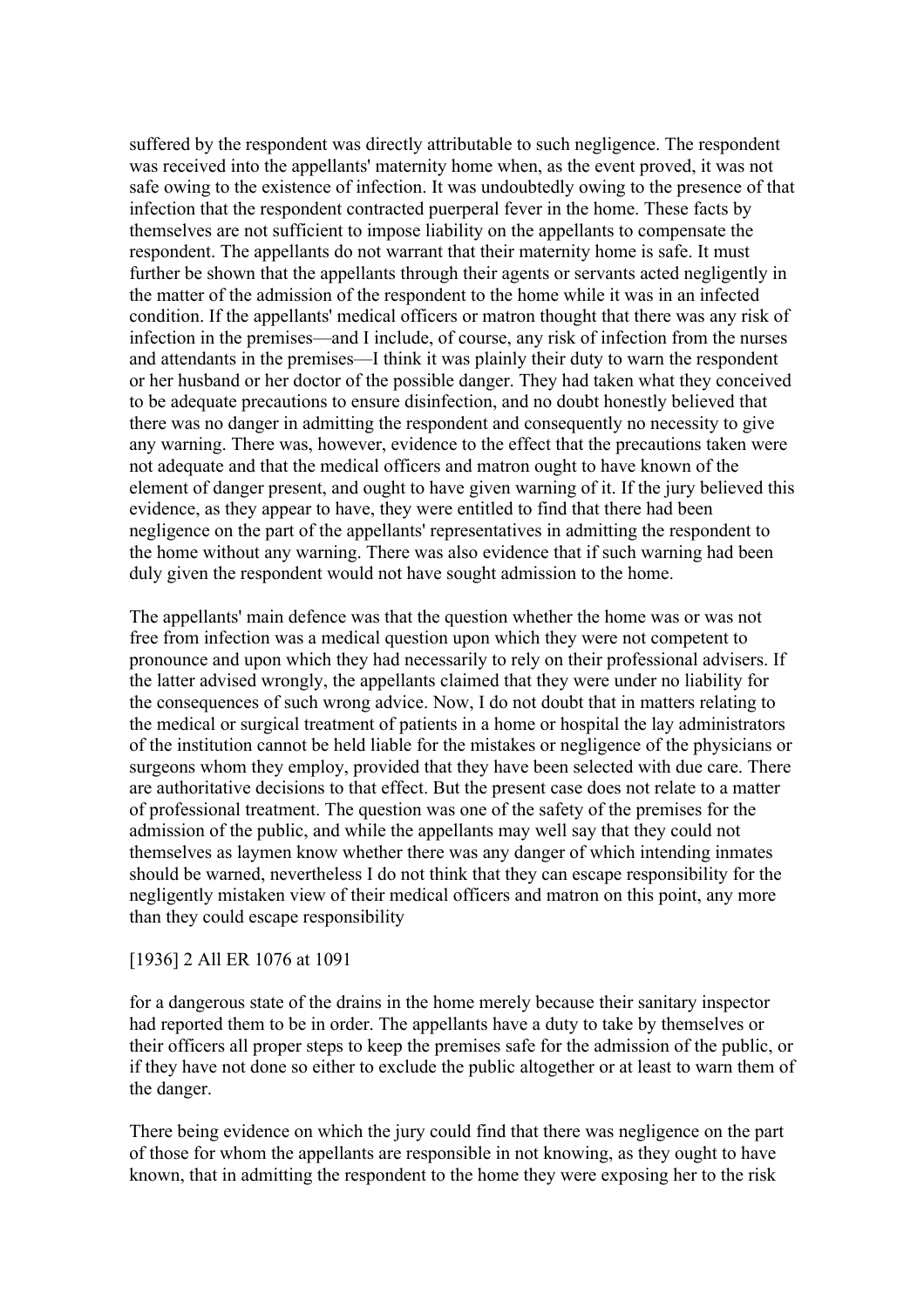suffered by the respondent was directly attributable to such negligence. The respondent was received into the appellants' maternity home when, as the event proved, it was not safe owing to the existence of infection. It was undoubtedly owing to the presence of that infection that the respondent contracted puerperal fever in the home. These facts by themselves are not sufficient to impose liability on the appellants to compensate the respondent. The appellants do not warrant that their maternity home is safe. It must further be shown that the appellants through their agents or servants acted negligently in the matter of the admission of the respondent to the home while it was in an infected condition. If the appellants' medical officers or matron thought that there was any risk of infection in the premises—and I include, of course, any risk of infection from the nurses and attendants in the premises—I think it was plainly their duty to warn the respondent or her husband or her doctor of the possible danger. They had taken what they conceived to be adequate precautions to ensure disinfection, and no doubt honestly believed that there was no danger in admitting the respondent and consequently no necessity to give any warning. There was, however, evidence to the effect that the precautions taken were not adequate and that the medical officers and matron ought to have known of the element of danger present, and ought to have given warning of it. If the jury believed this evidence, as they appear to have, they were entitled to find that there had been negligence on the part of the appellants' representatives in admitting the respondent to the home without any warning. There was also evidence that if such warning had been duly given the respondent would not have sought admission to the home.

The appellants' main defence was that the question whether the home was or was not free from infection was a medical question upon which they were not competent to pronounce and upon which they had necessarily to rely on their professional advisers. If the latter advised wrongly, the appellants claimed that they were under no liability for the consequences of such wrong advice. Now, I do not doubt that in matters relating to the medical or surgical treatment of patients in a home or hospital the lay administrators of the institution cannot be held liable for the mistakes or negligence of the physicians or surgeons whom they employ, provided that they have been selected with due care. There are authoritative decisions to that effect. But the present case does not relate to a matter of professional treatment. The question was one of the safety of the premises for the admission of the public, and while the appellants may well say that they could not themselves as laymen know whether there was any danger of which intending inmates should be warned, nevertheless I do not think that they can escape responsibility for the negligently mistaken view of their medical officers and matron on this point, any more than they could escape responsibility

# [1936] 2 All ER 1076 at 1091

for a dangerous state of the drains in the home merely because their sanitary inspector had reported them to be in order. The appellants have a duty to take by themselves or their officers all proper steps to keep the premises safe for the admission of the public, or if they have not done so either to exclude the public altogether or at least to warn them of the danger.

There being evidence on which the jury could find that there was negligence on the part of those for whom the appellants are responsible in not knowing, as they ought to have known, that in admitting the respondent to the home they were exposing her to the risk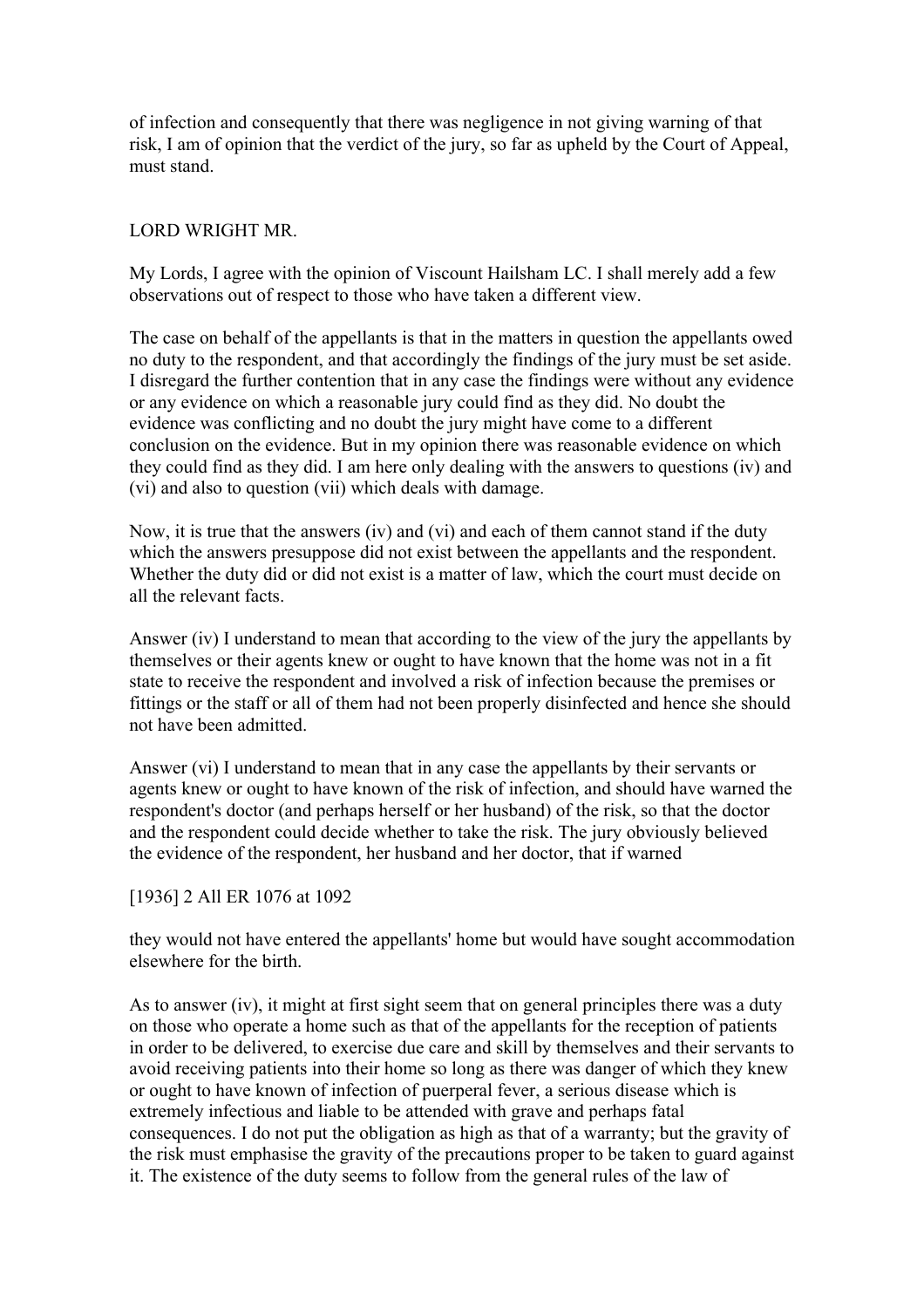of infection and consequently that there was negligence in not giving warning of that risk, I am of opinion that the verdict of the jury, so far as upheld by the Court of Appeal, must stand.

# LORD WRIGHT MR.

My Lords, I agree with the opinion of Viscount Hailsham LC. I shall merely add a few observations out of respect to those who have taken a different view.

The case on behalf of the appellants is that in the matters in question the appellants owed no duty to the respondent, and that accordingly the findings of the jury must be set aside. I disregard the further contention that in any case the findings were without any evidence or any evidence on which a reasonable jury could find as they did. No doubt the evidence was conflicting and no doubt the jury might have come to a different conclusion on the evidence. But in my opinion there was reasonable evidence on which they could find as they did. I am here only dealing with the answers to questions (iv) and (vi) and also to question (vii) which deals with damage.

Now, it is true that the answers (iv) and (vi) and each of them cannot stand if the duty which the answers presuppose did not exist between the appellants and the respondent. Whether the duty did or did not exist is a matter of law, which the court must decide on all the relevant facts.

Answer (iv) I understand to mean that according to the view of the jury the appellants by themselves or their agents knew or ought to have known that the home was not in a fit state to receive the respondent and involved a risk of infection because the premises or fittings or the staff or all of them had not been properly disinfected and hence she should not have been admitted.

Answer (vi) I understand to mean that in any case the appellants by their servants or agents knew or ought to have known of the risk of infection, and should have warned the respondent's doctor (and perhaps herself or her husband) of the risk, so that the doctor and the respondent could decide whether to take the risk. The jury obviously believed the evidence of the respondent, her husband and her doctor, that if warned

# [1936] 2 All ER 1076 at 1092

they would not have entered the appellants' home but would have sought accommodation elsewhere for the birth.

As to answer (iv), it might at first sight seem that on general principles there was a duty on those who operate a home such as that of the appellants for the reception of patients in order to be delivered, to exercise due care and skill by themselves and their servants to avoid receiving patients into their home so long as there was danger of which they knew or ought to have known of infection of puerperal fever, a serious disease which is extremely infectious and liable to be attended with grave and perhaps fatal consequences. I do not put the obligation as high as that of a warranty; but the gravity of the risk must emphasise the gravity of the precautions proper to be taken to guard against it. The existence of the duty seems to follow from the general rules of the law of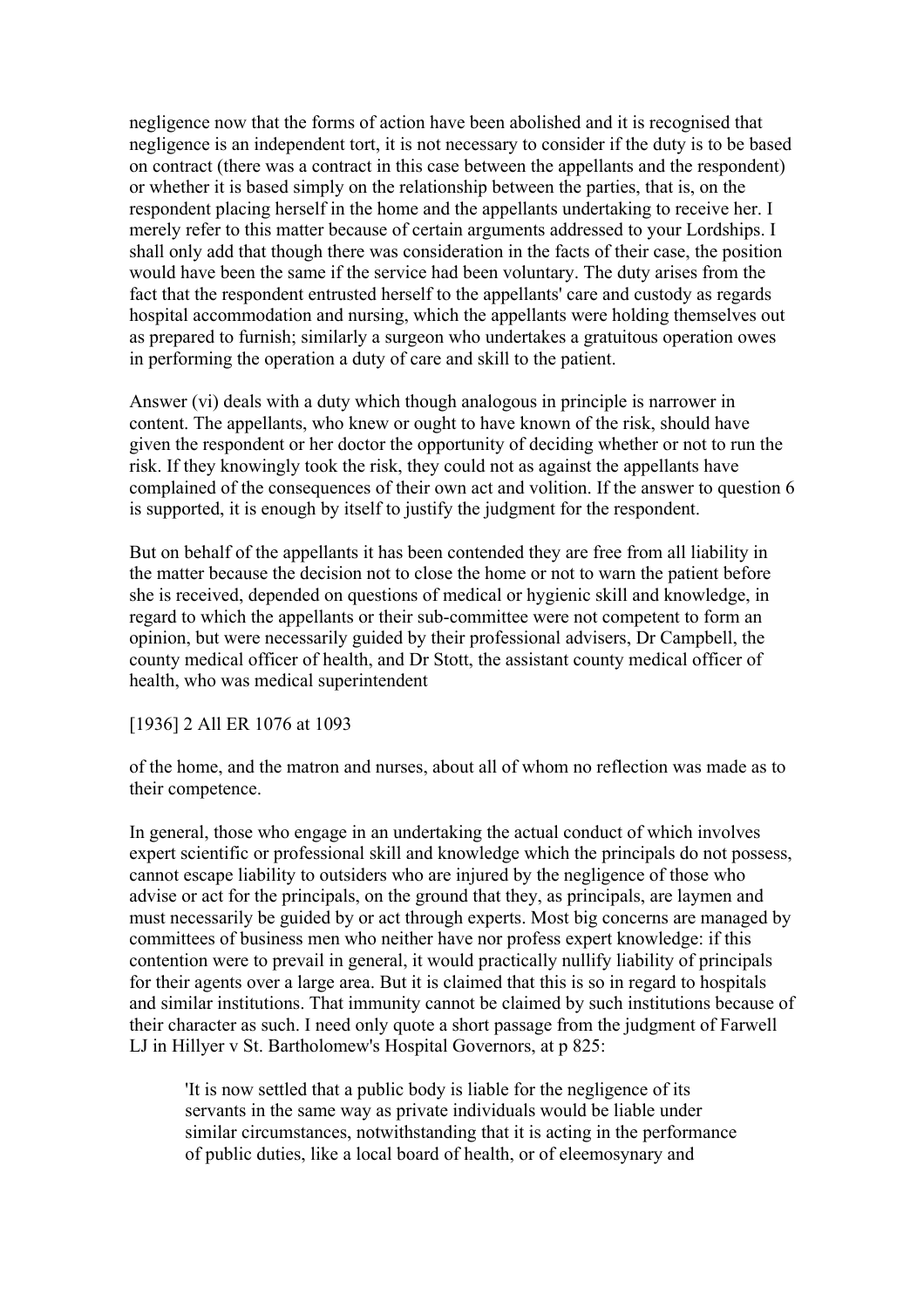negligence now that the forms of action have been abolished and it is recognised that negligence is an independent tort, it is not necessary to consider if the duty is to be based on contract (there was a contract in this case between the appellants and the respondent) or whether it is based simply on the relationship between the parties, that is, on the respondent placing herself in the home and the appellants undertaking to receive her. I merely refer to this matter because of certain arguments addressed to your Lordships. I shall only add that though there was consideration in the facts of their case, the position would have been the same if the service had been voluntary. The duty arises from the fact that the respondent entrusted herself to the appellants' care and custody as regards hospital accommodation and nursing, which the appellants were holding themselves out as prepared to furnish; similarly a surgeon who undertakes a gratuitous operation owes in performing the operation a duty of care and skill to the patient.

Answer (vi) deals with a duty which though analogous in principle is narrower in content. The appellants, who knew or ought to have known of the risk, should have given the respondent or her doctor the opportunity of deciding whether or not to run the risk. If they knowingly took the risk, they could not as against the appellants have complained of the consequences of their own act and volition. If the answer to question 6 is supported, it is enough by itself to justify the judgment for the respondent.

But on behalf of the appellants it has been contended they are free from all liability in the matter because the decision not to close the home or not to warn the patient before she is received, depended on questions of medical or hygienic skill and knowledge, in regard to which the appellants or their sub-committee were not competent to form an opinion, but were necessarily guided by their professional advisers, Dr Campbell, the county medical officer of health, and Dr Stott, the assistant county medical officer of health, who was medical superintendent

# [1936] 2 All ER 1076 at 1093

of the home, and the matron and nurses, about all of whom no reflection was made as to their competence.

In general, those who engage in an undertaking the actual conduct of which involves expert scientific or professional skill and knowledge which the principals do not possess, cannot escape liability to outsiders who are injured by the negligence of those who advise or act for the principals, on the ground that they, as principals, are laymen and must necessarily be guided by or act through experts. Most big concerns are managed by committees of business men who neither have nor profess expert knowledge: if this contention were to prevail in general, it would practically nullify liability of principals for their agents over a large area. But it is claimed that this is so in regard to hospitals and similar institutions. That immunity cannot be claimed by such institutions because of their character as such. I need only quote a short passage from the judgment of Farwell LJ in Hillyer v St. Bartholomew's Hospital Governors, at p 825:

'It is now settled that a public body is liable for the negligence of its servants in the same way as private individuals would be liable under similar circumstances, notwithstanding that it is acting in the performance of public duties, like a local board of health, or of eleemosynary and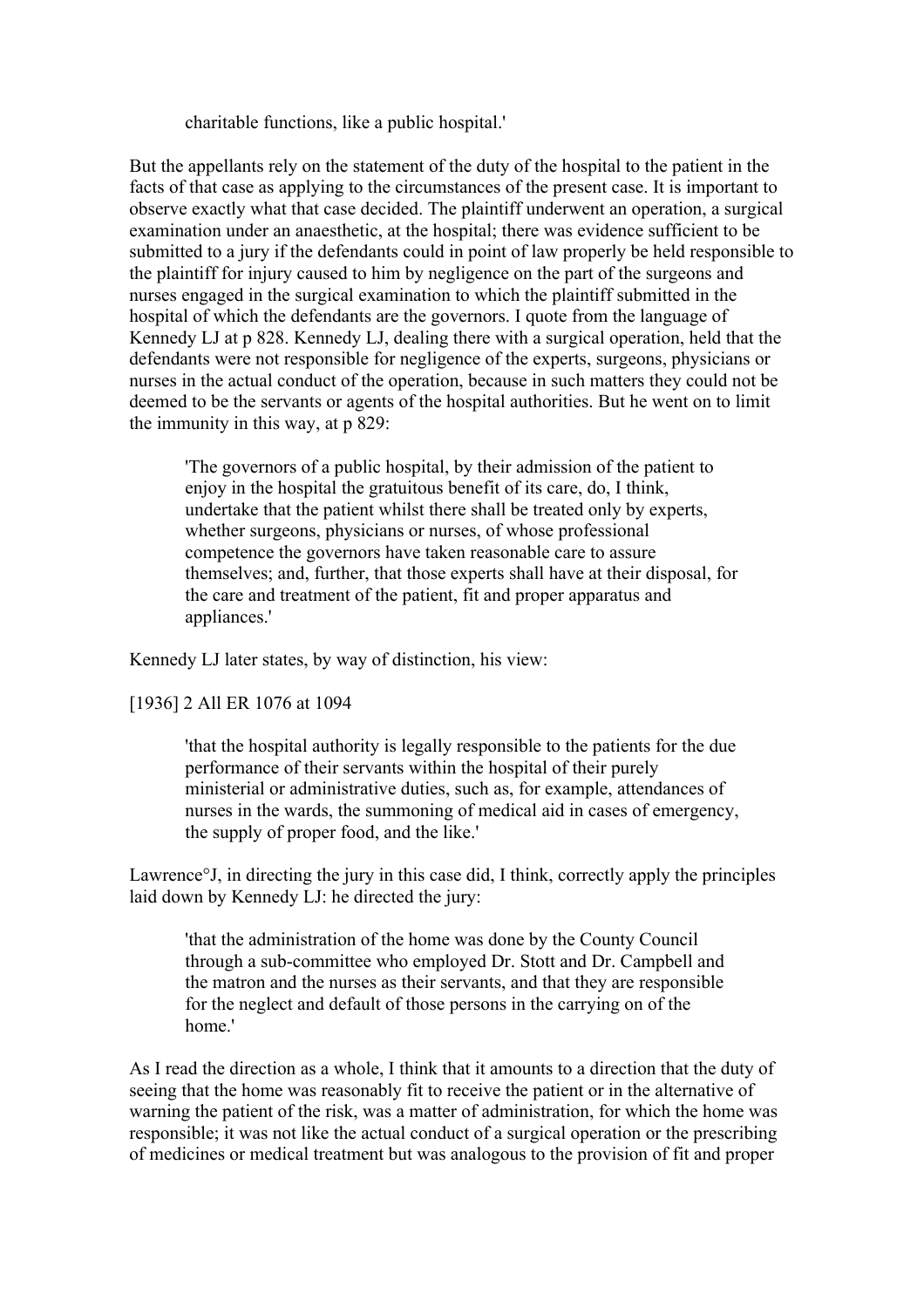charitable functions, like a public hospital.'

But the appellants rely on the statement of the duty of the hospital to the patient in the facts of that case as applying to the circumstances of the present case. It is important to observe exactly what that case decided. The plaintiff underwent an operation, a surgical examination under an anaesthetic, at the hospital; there was evidence sufficient to be submitted to a jury if the defendants could in point of law properly be held responsible to the plaintiff for injury caused to him by negligence on the part of the surgeons and nurses engaged in the surgical examination to which the plaintiff submitted in the hospital of which the defendants are the governors. I quote from the language of Kennedy LJ at p 828. Kennedy LJ, dealing there with a surgical operation, held that the defendants were not responsible for negligence of the experts, surgeons, physicians or nurses in the actual conduct of the operation, because in such matters they could not be deemed to be the servants or agents of the hospital authorities. But he went on to limit the immunity in this way, at p 829:

'The governors of a public hospital, by their admission of the patient to enjoy in the hospital the gratuitous benefit of its care, do, I think, undertake that the patient whilst there shall be treated only by experts, whether surgeons, physicians or nurses, of whose professional competence the governors have taken reasonable care to assure themselves; and, further, that those experts shall have at their disposal, for the care and treatment of the patient, fit and proper apparatus and appliances.'

Kennedy LJ later states, by way of distinction, his view:

# [1936] 2 All ER 1076 at 1094

'that the hospital authority is legally responsible to the patients for the due performance of their servants within the hospital of their purely ministerial or administrative duties, such as, for example, attendances of nurses in the wards, the summoning of medical aid in cases of emergency, the supply of proper food, and the like.'

Lawrence°J, in directing the jury in this case did, I think, correctly apply the principles laid down by Kennedy LJ: he directed the jury:

'that the administration of the home was done by the County Council through a sub-committee who employed Dr. Stott and Dr. Campbell and the matron and the nurses as their servants, and that they are responsible for the neglect and default of those persons in the carrying on of the home.'

As I read the direction as a whole, I think that it amounts to a direction that the duty of seeing that the home was reasonably fit to receive the patient or in the alternative of warning the patient of the risk, was a matter of administration, for which the home was responsible; it was not like the actual conduct of a surgical operation or the prescribing of medicines or medical treatment but was analogous to the provision of fit and proper